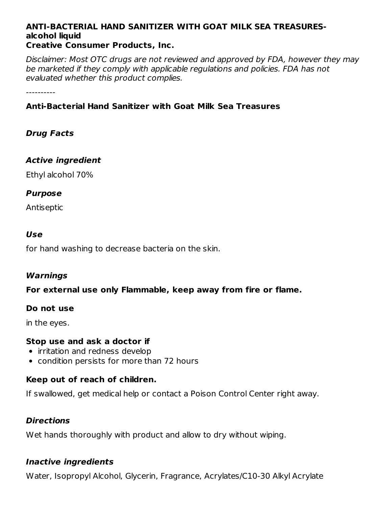#### **ANTI-BACTERIAL HAND SANITIZER WITH GOAT MILK SEA TREASURESalcohol liquid Creative Consumer Products, Inc.**

Disclaimer: Most OTC drugs are not reviewed and approved by FDA, however they may be marketed if they comply with applicable regulations and policies. FDA has not evaluated whether this product complies.

----------

## **Anti-Bacterial Hand Sanitizer with Goat Milk Sea Treasures**

## **Drug Facts**

## **Active ingredient**

Ethyl alcohol 70%

### **Purpose**

Antiseptic

### **Use**

for hand washing to decrease bacteria on the skin.

#### **Warnings**

#### **For external use only Flammable, keep away from fire or flame.**

#### **Do not use**

in the eyes.

#### **Stop use and ask a doctor if**

- irritation and redness develop
- condition persists for more than 72 hours

## **Keep out of reach of children.**

If swallowed, get medical help or contact a Poison Control Center right away.

## **Directions**

Wet hands thoroughly with product and allow to dry without wiping.

# **Inactive ingredients**

Water, Isopropyl Alcohol, Glycerin, Fragrance, Acrylates/C10-30 Alkyl Acrylate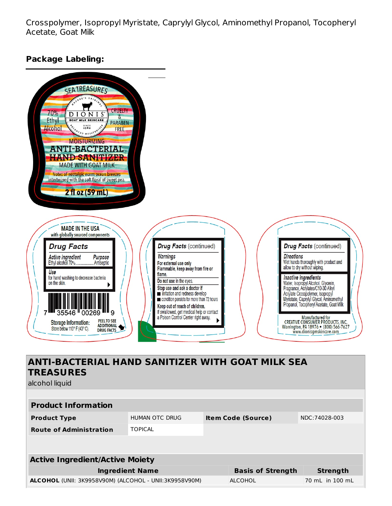Crosspolymer, Isopropyl Myristate, Caprylyl Glycol, Aminomethyl Propanol, Tocopheryl Acetate, Goat Milk

#### **Package Labeling:**



alcohol liquid

| <b>Product Information</b>                             |                |                           |                          |                 |  |  |  |
|--------------------------------------------------------|----------------|---------------------------|--------------------------|-----------------|--|--|--|
| <b>Product Type</b>                                    | HUMAN OTC DRUG | <b>Item Code (Source)</b> |                          | NDC:74028-003   |  |  |  |
| <b>Route of Administration</b>                         | <b>TOPICAL</b> |                           |                          |                 |  |  |  |
|                                                        |                |                           |                          |                 |  |  |  |
|                                                        |                |                           |                          |                 |  |  |  |
| <b>Active Ingredient/Active Moiety</b>                 |                |                           |                          |                 |  |  |  |
| <b>Ingredient Name</b>                                 |                |                           | <b>Basis of Strength</b> | <b>Strength</b> |  |  |  |
| ALCOHOL (UNII: 3K9958V90M) (ALCOHOL - UNII:3K9958V90M) |                |                           | ALCOHOL                  | 70 mL in 100 mL |  |  |  |
|                                                        |                |                           |                          |                 |  |  |  |